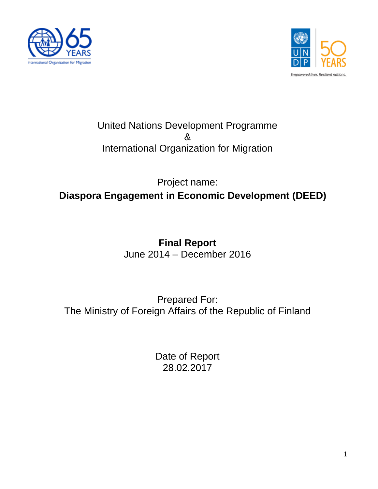



# United Nations Development Programme & International Organization for Migration

# Project name: **Diaspora Engagement in Economic Development (DEED)**

# **Final Report** June 2014 – December 2016

# Prepared For: The Ministry of Foreign Affairs of the Republic of Finland

Date of Report 28.02.2017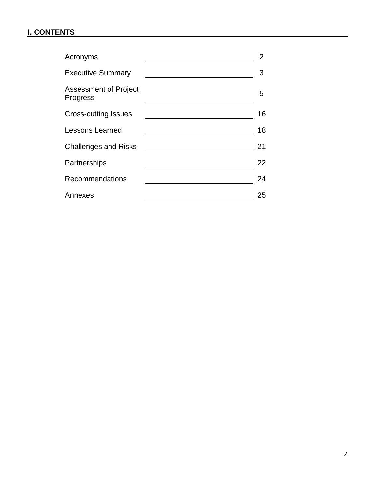# **I. CONTENTS**

| Acronyms                                 | 2. |
|------------------------------------------|----|
| <b>Executive Summary</b>                 | 3  |
| <b>Assessment of Project</b><br>Progress | 5  |
| <b>Cross-cutting Issues</b>              | 16 |
| <b>Lessons Learned</b>                   | 18 |
| <b>Challenges and Risks</b>              | 21 |
| Partnerships                             | 22 |
| Recommendations                          | 24 |
| Annexes                                  | 25 |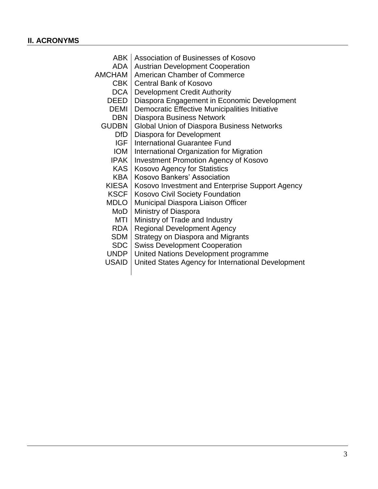|              | ABK   Association of Businesses of Kosovo          |
|--------------|----------------------------------------------------|
| ADA          | <b>Austrian Development Cooperation</b>            |
| AMCHAM       | <b>American Chamber of Commerce</b>                |
| CBK          | <b>Central Bank of Kosovo</b>                      |
| DCA          | <b>Development Credit Authority</b>                |
| DEED         | Diaspora Engagement in Economic Development        |
| DEMI         | Democratic Effective Municipalities Initiative     |
| <b>DBN</b>   | Diaspora Business Network                          |
| <b>GUDBN</b> | <b>Global Union of Diaspora Business Networks</b>  |
| <b>DfD</b>   | Diaspora for Development                           |
| <b>IGF</b>   | International Guarantee Fund                       |
| <b>IOM</b>   | International Organization for Migration           |
| <b>IPAK</b>  | <b>Investment Promotion Agency of Kosovo</b>       |
| <b>KAS</b>   | <b>Kosovo Agency for Statistics</b>                |
| KBA          | Kosovo Bankers' Association                        |
| <b>KIESA</b> | Kosovo Investment and Enterprise Support Agency    |
| <b>KSCF</b>  | Kosovo Civil Society Foundation                    |
| <b>MDLO</b>  | Municipal Diaspora Liaison Officer                 |
| MoD          | Ministry of Diaspora                               |
| MTI          | Ministry of Trade and Industry                     |
| RDA          | <b>Regional Development Agency</b>                 |
| SDM          | <b>Strategy on Diaspora and Migrants</b>           |
| <b>SDC</b>   | <b>Swiss Development Cooperation</b>               |
| <b>UNDP</b>  | United Nations Development programme               |
| <b>USAID</b> | United States Agency for International Development |
|              |                                                    |
|              |                                                    |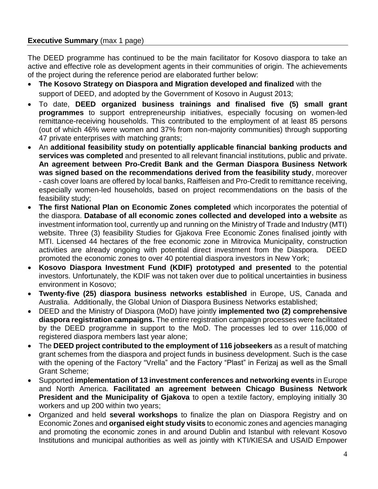# **Executive Summary** (max 1 page)

The DEED programme has continued to be the main facilitator for Kosovo diaspora to take an active and effective role as development agents in their communities of origin. The achievements of the project during the reference period are elaborated further below:

- **The Kosovo Strategy on Diaspora and Migration developed and finalized** with the support of DEED, and adopted by the Government of Kosovo in August 2013;
- To date, **DEED organized business trainings and finalised five (5) small grant programmes** to support entrepreneurship initiatives, especially focusing on women-led remittance-receiving households. This contributed to the employment of at least 85 persons (out of which 46% were women and 37% from non-majority communities) through supporting 47 private enterprises with matching grants;
- An **additional feasibility study on potentially applicable financial banking products and services was completed** and presented to all relevant financial institutions, public and private. **An agreement between Pro-Credit Bank and the German Diaspora Business Network was signed based on the recommendations derived from the feasibility study**, moreover - cash cover loans are offered by local banks, Raiffeisen and Pro-Credit to remittance receiving, especially women-led households, based on project recommendations on the basis of the feasibility study;
- **The first National Plan on Economic Zones completed** which incorporates the potential of the diaspora. **Database of all economic zones collected and developed into a website** as investment information tool, currently up and running on the Ministry of Trade and Industry (MTI) website. Three (3) feasibility Studies for Gjakova Free Economic Zones finalised jointly with MTI. Licensed 44 hectares of the free economic zone in Mitrovica Municipality, construction activities are already ongoing with potential direct investment from the Diaspora. DEED promoted the economic zones to over 40 potential diaspora investors in New York;
- **Kosovo Diaspora Investment Fund (KDIF) prototyped and presented** to the potential investors. Unfortunately, the KDIF was not taken over due to political uncertainties in business environment in Kosovo;
- **Twenty-five (25) diaspora business networks established** in Europe, US, Canada and Australia. Additionally, the Global Union of Diaspora Business Networks established;
- DEED and the Ministry of Diaspora (MoD) have jointly **implemented two (2) comprehensive diaspora registration campaigns.** The entire registration campaign processes were facilitated by the DEED programme in support to the MoD. The processes led to over 116,000 of registered diaspora members last year alone;
- The **DEED project contributed to the employment of 116 jobseekers** as a result of matching grant schemes from the diaspora and project funds in business development. Such is the case with the opening of the Factory "Vrella" and the Factory "Plast" in Ferizaj as well as the Small Grant Scheme;
- Supported **implementation of 13 investment conferences and networking events** in Europe and North America. **Facilitated an agreement between Chicago Business Network President and the Municipality of Gjakova** to open a textile factory, employing initially 30 workers and up 200 within two years;
- Organized and held **several workshops** to finalize the plan on Diaspora Registry and on Economic Zones and **organised eight study visits** to economic zones and agencies managing and promoting the economic zones in and around Dublin and Istanbul with relevant Kosovo Institutions and municipal authorities as well as jointly with KTI/KIESA and USAID Empower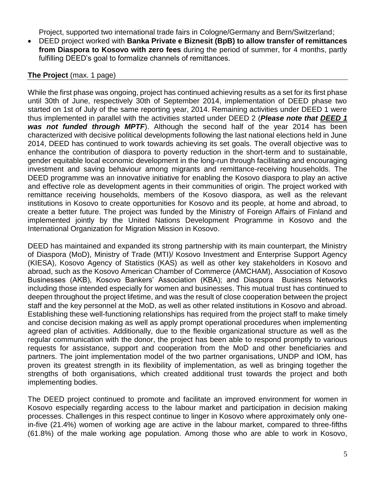Project, supported two international trade fairs in Cologne/Germany and Bern/Switzerland;

 DEED project worked with **Banka Private e Biznesit (BpB) to allow transfer of remittances from Diaspora to Kosovo with zero fees** during the period of summer, for 4 months, partly fulfilling DEED's goal to formalize channels of remittances.

#### **The Project** (max. 1 page)

While the first phase was ongoing, project has continued achieving results as a set for its first phase until 30th of June, respectively 30th of September 2014, implementation of DEED phase two started on 1st of July of the same reporting year, 2014. Remaining activities under DEED 1 were thus implemented in parallel with the activities started under DEED 2 (*Please note that DEED 1 was not funded through MPTF*). Although the second half of the year 2014 has been characterized with decisive political developments following the last national elections held in June 2014, DEED has continued to work towards achieving its set goals. The overall objective was to enhance the contribution of diaspora to poverty reduction in the short-term and to sustainable, gender equitable local economic development in the long-run through facilitating and encouraging investment and saving behaviour among migrants and remittance-receiving households. The DEED programme was an innovative initiative for enabling the Kosovo diaspora to play an active and effective role as development agents in their communities of origin. The project worked with remittance receiving households, members of the Kosovo diaspora, as well as the relevant institutions in Kosovo to create opportunities for Kosovo and its people, at home and abroad, to create a better future. The project was funded by the Ministry of Foreign Affairs of Finland and implemented jointly by the United Nations Development Programme in Kosovo and the International Organization for Migration Mission in Kosovo.

DEED has maintained and expanded its strong partnership with its main counterpart, the Ministry of Diaspora (MoD), Ministry of Trade (MTI)/ Kosovo Investment and Enterprise Support Agency (KIESA), Kosovo Agency of Statistics (KAS) as well as other key stakeholders in Kosovo and abroad, such as the Kosovo American Chamber of Commerce (AMCHAM), Association of Kosovo Businesses (AKB), Kosovo Bankers' Association (KBA); and Diaspora Business Networks including those intended especially for women and businesses. This mutual trust has continued to deepen throughout the project lifetime, and was the result of close cooperation between the project staff and the key personnel at the MoD, as well as other related institutions in Kosovo and abroad. Establishing these well-functioning relationships has required from the project staff to make timely and concise decision making as well as apply prompt operational procedures when implementing agreed plan of activities. Additionally, due to the flexible organizational structure as well as the regular communication with the donor, the project has been able to respond promptly to various requests for assistance, support and cooperation from the MoD and other beneficiaries and partners. The joint implementation model of the two partner organisations, UNDP and IOM, has proven its greatest strength in its flexibility of implementation, as well as bringing together the strengths of both organisations, which created additional trust towards the project and both implementing bodies.

The DEED project continued to promote and facilitate an improved environment for women in Kosovo especially regarding access to the labour market and participation in decision making processes. Challenges in this respect continue to linger in Kosovo where approximately only onein-five (21.4%) women of working age are active in the labour market, compared to three-fifths (61.8%) of the male working age population. Among those who are able to work in Kosovo,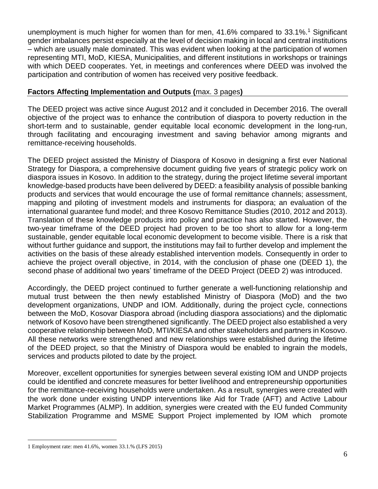unemployment is much higher for women than for men, 41.6% compared to 33.1%.<sup>1</sup> Significant gender imbalances persist especially at the level of decision making in local and central institutions – which are usually male dominated. This was evident when looking at the participation of women representing MTI, MoD, KIESA, Municipalities, and different institutions in workshops or trainings with which DEED cooperates. Yet, in meetings and conferences where DEED was involved the participation and contribution of women has received very positive feedback.

# **Factors Affecting Implementation and Outputs (**max. 3 pages**)**

The DEED project was active since August 2012 and it concluded in December 2016. The overall objective of the project was to enhance the contribution of diaspora to poverty reduction in the short-term and to sustainable, gender equitable local economic development in the long-run, through facilitating and encouraging investment and saving behavior among migrants and remittance-receiving households.

The DEED project assisted the Ministry of Diaspora of Kosovo in designing a first ever National Strategy for Diaspora, a comprehensive document guiding five years of strategic policy work on diaspora issues in Kosovo. In addition to the strategy, during the project lifetime several important knowledge-based products have been delivered by DEED: a feasibility analysis of possible banking products and services that would encourage the use of formal remittance channels; assessment, mapping and piloting of investment models and instruments for diaspora; an evaluation of the international guarantee fund model; and three Kosovo Remittance Studies (2010, 2012 and 2013). Translation of these knowledge products into policy and practice has also started. However, the two-year timeframe of the DEED project had proven to be too short to allow for a long-term sustainable, gender equitable local economic development to become visible. There is a risk that without further guidance and support, the institutions may fail to further develop and implement the activities on the basis of these already established intervention models. Consequently in order to achieve the project overall objective, in 2014, with the conclusion of phase one (DEED 1), the second phase of additional two years' timeframe of the DEED Project (DEED 2) was introduced.

Accordingly, the DEED project continued to further generate a well-functioning relationship and mutual trust between the then newly established Ministry of Diaspora (MoD) and the two development organizations, UNDP and IOM. Additionally, during the project cycle, connections between the MoD, Kosovar Diaspora abroad (including diaspora associations) and the diplomatic network of Kosovo have been strengthened significantly. The DEED project also established a very cooperative relationship between MoD, MTI/KIESA and other stakeholders and partners in Kosovo. All these networks were strengthened and new relationships were established during the lifetime of the DEED project, so that the Ministry of Diaspora would be enabled to ingrain the models, services and products piloted to date by the project.

Moreover, excellent opportunities for synergies between several existing IOM and UNDP projects could be identified and concrete measures for better livelihood and entrepreneurship opportunities for the remittance-receiving households were undertaken. As a result, synergies were created with the work done under existing UNDP interventions like Aid for Trade (AFT) and Active Labour Market Programmes (ALMP). In addition, synergies were created with the EU funded Community Stabilization Programme and MSME Support Project implemented by IOM which promote

<sup>1</sup> Employment rate: men 41.6%, women 33.1.% (LFS 2015)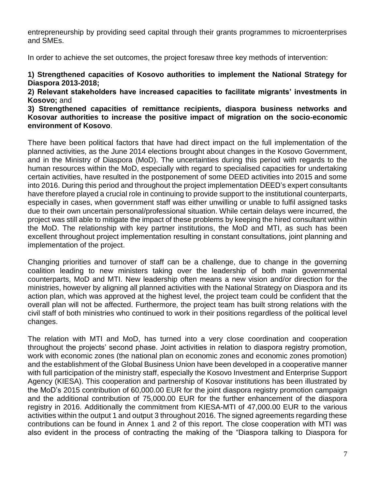entrepreneurship by providing seed capital through their grants programmes to microenterprises and SMEs.

In order to achieve the set outcomes, the project foresaw three key methods of intervention:

**1) Strengthened capacities of Kosovo authorities to implement the National Strategy for Diaspora 2013-2018;**

**2) Relevant stakeholders have increased capacities to facilitate migrants' investments in Kosovo;** and

**3) Strengthened capacities of remittance recipients, diaspora business networks and Kosovar authorities to increase the positive impact of migration on the socio-economic environment of Kosovo**.

There have been political factors that have had direct impact on the full implementation of the planned activities, as the June 2014 elections brought about changes in the Kosovo Government, and in the Ministry of Diaspora (MoD). The uncertainties during this period with regards to the human resources within the MoD, especially with regard to specialised capacities for undertaking certain activities, have resulted in the postponement of some DEED activities into 2015 and some into 2016. During this period and throughout the project implementation DEED's expert consultants have therefore played a crucial role in continuing to provide support to the institutional counterparts, especially in cases, when government staff was either unwilling or unable to fulfil assigned tasks due to their own uncertain personal/professional situation. While certain delays were incurred, the project was still able to mitigate the impact of these problems by keeping the hired consultant within the MoD. The relationship with key partner institutions, the MoD and MTI, as such has been excellent throughout project implementation resulting in constant consultations, joint planning and implementation of the project.

Changing priorities and turnover of staff can be a challenge, due to change in the governing coalition leading to new ministers taking over the leadership of both main governmental counterparts, MoD and MTI. New leadership often means a new vision and/or direction for the ministries, however by aligning all planned activities with the National Strategy on Diaspora and its action plan, which was approved at the highest level, the project team could be confident that the overall plan will not be affected. Furthermore, the project team has built strong relations with the civil staff of both ministries who continued to work in their positions regardless of the political level changes.

The relation with MTI and MoD, has turned into a very close coordination and cooperation throughout the projects' second phase. Joint activities in relation to diaspora registry promotion, work with economic zones (the national plan on economic zones and economic zones promotion) and the establishment of the Global Business Union have been developed in a cooperative manner with full participation of the ministry staff, especially the Kosovo Investment and Enterprise Support Agency (KIESA). This cooperation and partnership of Kosovar institutions has been illustrated by the MoD's 2015 contribution of 60,000.00 EUR for the joint diaspora registry promotion campaign and the additional contribution of 75,000.00 EUR for the further enhancement of the diaspora registry in 2016. Additionally the commitment from KIESA-MTI of 47,000.00 EUR to the various activities within the output 1 and output 3 throughout 2016. The signed agreements regarding these contributions can be found in Annex 1 and 2 of this report. The close cooperation with MTI was also evident in the process of contracting the making of the "Diaspora talking to Diaspora for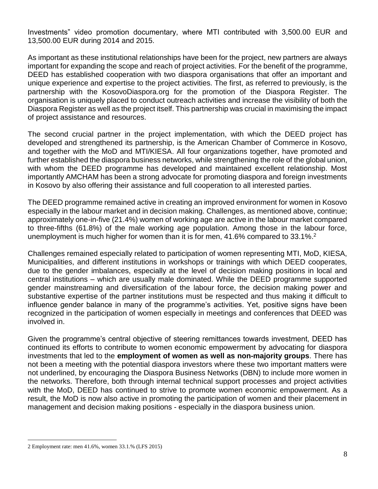Investments" video promotion documentary, where MTI contributed with 3,500.00 EUR and 13,500.00 EUR during 2014 and 2015.

As important as these institutional relationships have been for the project, new partners are always important for expanding the scope and reach of project activities. For the benefit of the programme, DEED has established cooperation with two diaspora organisations that offer an important and unique experience and expertise to the project activities. The first, as referred to previously, is the partnership with the KosovoDiaspora.org for the promotion of the Diaspora Register. The organisation is uniquely placed to conduct outreach activities and increase the visibility of both the Diaspora Register as well as the project itself. This partnership was crucial in maximising the impact of project assistance and resources.

The second crucial partner in the project implementation, with which the DEED project has developed and strengthened its partnership, is the American Chamber of Commerce in Kosovo, and together with the MoD and MTI/KIESA. All four organizations together, have promoted and further established the diaspora business networks, while strengthening the role of the global union, with whom the DEED programme has developed and maintained excellent relationship. Most importantly AMCHAM has been a strong advocate for promoting diaspora and foreign investments in Kosovo by also offering their assistance and full cooperation to all interested parties.

The DEED programme remained active in creating an improved environment for women in Kosovo especially in the labour market and in decision making. Challenges, as mentioned above, continue; approximately one-in-five (21.4%) women of working age are active in the labour market compared to three-fifths (61.8%) of the male working age population. Among those in the labour force, unemployment is much higher for women than it is for men,  $41.6\%$  compared to 33.1%.<sup>2</sup>

Challenges remained especially related to participation of women representing MTI, MoD, KIESA, Municipalities, and different institutions in workshops or trainings with which DEED cooperates, due to the gender imbalances, especially at the level of decision making positions in local and central institutions – which are usually male dominated. While the DEED programme supported gender mainstreaming and diversification of the labour force, the decision making power and substantive expertise of the partner institutions must be respected and thus making it difficult to influence gender balance in many of the programme's activities. Yet, positive signs have been recognized in the participation of women especially in meetings and conferences that DEED was involved in.

Given the programme's central objective of steering remittances towards investment, DEED has continued its efforts to contribute to women economic empowerment by advocating for diaspora investments that led to the **employment of women as well as non-majority groups**. There has not been a meeting with the potential diaspora investors where these two important matters were not underlined, by encouraging the Diaspora Business Networks (DBN) to include more women in the networks. Therefore, both through internal technical support processes and project activities with the MoD, DEED has continued to strive to promote women economic empowerment. As a result, the MoD is now also active in promoting the participation of women and their placement in management and decision making positions - especially in the diaspora business union.

<sup>2</sup> Employment rate: men 41.6%, women 33.1.% (LFS 2015)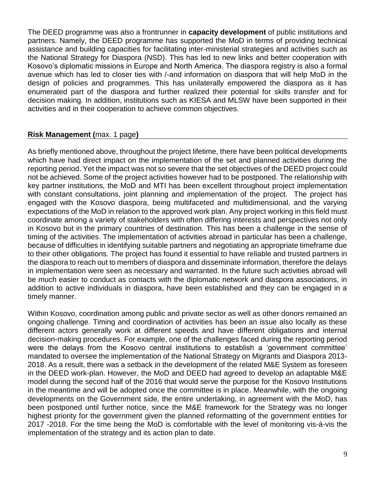The DEED programme was also a frontrunner in **capacity development** of public institutions and partners. Namely, the DEED programme has supported the MoD in terms of providing technical assistance and building capacities for facilitating inter-ministerial strategies and activities such as the National Strategy for Diaspora (NSD). This has led to new links and better cooperation with Kosovo's diplomatic missions in Europe and North America. The diaspora registry is also a formal avenue which has led to closer ties with /-and information on diaspora that will help MoD in the design of policies and programmes. This has unilaterally empowered the diaspora as it has enumerated part of the diaspora and further realized their potential for skills transfer and for decision making. In addition, institutions such as KIESA and MLSW have been supported in their activities and in their cooperation to achieve common objectives.

#### **Risk Management (**max. 1 page**)**

As briefly mentioned above, throughout the project lifetime, there have been political developments which have had direct impact on the implementation of the set and planned activities during the reporting period. Yet the impact was not so severe that the set objectives of the DEED project could not be achieved. Some of the project activities however had to be postponed. The relationship with key partner institutions, the MoD and MTI has been excellent throughout project implementation with constant consultations, joint planning and implementation of the project. The project has engaged with the Kosovo diaspora, being multifaceted and multidimensional, and the varying expectations of the MoD in relation to the approved work plan. Any project working in this field must coordinate among a variety of stakeholders with often differing interests and perspectives not only in Kosovo but in the primary countries of destination. This has been a challenge in the sense of timing of the activities. The implementation of activities abroad in particular has been a challenge, because of difficulties in identifying suitable partners and negotiating an appropriate timeframe due to their other obligations. The project has found it essential to have reliable and trusted partners in the diaspora to reach out to members of diaspora and disseminate information, therefore the delays in implementation were seen as necessary and warranted. In the future such activities abroad will be much easier to conduct as contacts with the diplomatic network and diaspora associations, in addition to active individuals in diaspora, have been established and they can be engaged in a timely manner.

Within Kosovo, coordination among public and private sector as well as other donors remained an ongoing challenge. Timing and coordination of activities has been an issue also locally as these different actors generally work at different speeds and have different obligations and internal decision-making procedures. For example, one of the challenges faced during the reporting period were the delays from the Kosovo central institutions to establish a 'government committee' mandated to oversee the implementation of the National Strategy on Migrants and Diaspora 2013- 2018. As a result, there was a setback in the development of the related M&E System as foreseen in the DEED work-plan. However, the MoD and DEED had agreed to develop an adaptable M&E model during the second half of the 2016 that would serve the purpose for the Kosovo Institutions in the meantime and will be adopted once the committee is in place. Meanwhile, with the ongoing developments on the Government side, the entire undertaking, in agreement with the MoD, has been postponed until further notice, since the M&E framework for the Strategy was no longer highest priority for the government given the planned reformatting of the government entities for 2017 -2018. For the time being the MoD is comfortable with the level of monitoring vis-à-vis the implementation of the strategy and its action plan to date.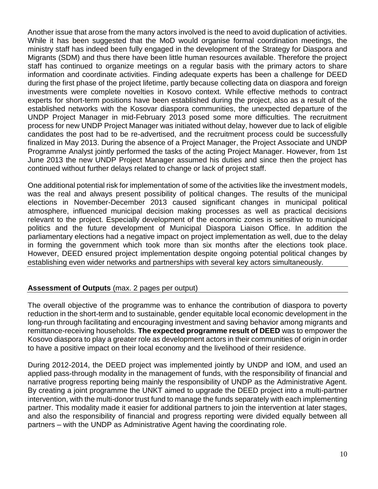Another issue that arose from the many actors involved is the need to avoid duplication of activities. While it has been suggested that the MoD would organise formal coordination meetings, the ministry staff has indeed been fully engaged in the development of the Strategy for Diaspora and Migrants (SDM) and thus there have been little human resources available. Therefore the project staff has continued to organize meetings on a regular basis with the primary actors to share information and coordinate activities. Finding adequate experts has been a challenge for DEED during the first phase of the project lifetime, partly because collecting data on diaspora and foreign investments were complete novelties in Kosovo context. While effective methods to contract experts for short-term positions have been established during the project, also as a result of the established networks with the Kosovar diaspora communities, the unexpected departure of the UNDP Project Manager in mid-February 2013 posed some more difficulties. The recruitment process for new UNDP Project Manager was initiated without delay, however due to lack of eligible candidates the post had to be re-advertised, and the recruitment process could be successfully finalized in May 2013. During the absence of a Project Manager, the Project Associate and UNDP Programme Analyst jointly performed the tasks of the acting Project Manager. However, from 1st June 2013 the new UNDP Project Manager assumed his duties and since then the project has continued without further delays related to change or lack of project staff.

One additional potential risk for implementation of some of the activities like the investment models, was the real and always present possibility of political changes. The results of the municipal elections in November-December 2013 caused significant changes in municipal political atmosphere, influenced municipal decision making processes as well as practical decisions relevant to the project. Especially development of the economic zones is sensitive to municipal politics and the future development of Municipal Diaspora Liaison Office. In addition the parliamentary elections had a negative impact on project implementation as well, due to the delay in forming the government which took more than six months after the elections took place. However, DEED ensured project implementation despite ongoing potential political changes by establishing even wider networks and partnerships with several key actors simultaneously.

# **Assessment of Outputs** (max. 2 pages per output)

The overall objective of the programme was to enhance the contribution of diaspora to poverty reduction in the short-term and to sustainable, gender equitable local economic development in the long-run through facilitating and encouraging investment and saving behavior among migrants and remittance-receiving households. **The expected programme result of DEED** was to empower the Kosovo diaspora to play a greater role as development actors in their communities of origin in order to have a positive impact on their local economy and the livelihood of their residence.

During 2012-2014, the DEED project was implemented jointly by UNDP and IOM, and used an applied pass-through modality in the management of funds, with the responsibility of financial and narrative progress reporting being mainly the responsibility of UNDP as the Administrative Agent. By creating a joint programme the UNKT aimed to upgrade the DEED project into a multi-partner intervention, with the multi-donor trust fund to manage the funds separately with each implementing partner. This modality made it easier for additional partners to join the intervention at later stages, and also the responsibility of financial and progress reporting were divided equally between all partners – with the UNDP as Administrative Agent having the coordinating role.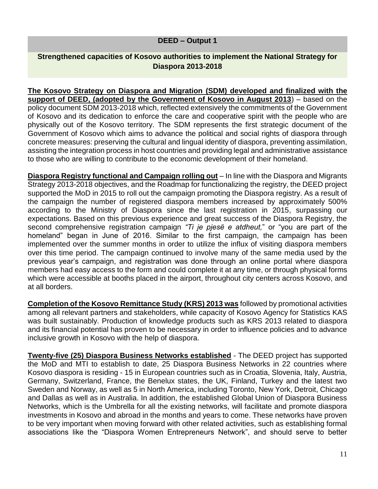#### **DEED – Output 1**

# **Strengthened capacities of Kosovo authorities to implement the National Strategy for Diaspora 2013-2018**

**The Kosovo Strategy on Diaspora and Migration (SDM) developed and finalized with the support of DEED, (adopted by the Government of Kosovo in August 2013**) – based on the policy document SDM 2013-2018 which, reflected extensively the commitments of the Government of Kosovo and its dedication to enforce the care and cooperative spirit with the people who are physically out of the Kosovo territory. The SDM represents the first strategic document of the Government of Kosovo which aims to advance the political and social rights of diaspora through concrete measures: preserving the cultural and lingual identity of diaspora, preventing assimilation, assisting the integration process in host countries and providing legal and administrative assistance to those who are willing to contribute to the economic development of their homeland.

**Diaspora Registry functional and Campaign rolling out** – In line with the Diaspora and Migrants Strategy 2013-2018 objectives, and the Roadmap for functionalizing the registry, the DEED project supported the MoD in 2015 to roll out the campaign promoting the Diaspora registry. As a result of the campaign the number of registered diaspora members increased by approximately 500% according to the Ministry of Diaspora since the last registration in 2015, surpassing our expectations. Based on this previous experience and great success of the Diaspora Registry, the second comprehensive registration campaign *"Ti je pjesë e atdheut,*" or "you are part of the homeland" began in June of 2016. Similar to the first campaign, the campaign has been implemented over the summer months in order to utilize the influx of visiting diaspora members over this time period. The campaign continued to involve many of the same media used by the previous year's campaign, and registration was done through an online portal where diaspora members had easy access to the form and could complete it at any time, or through physical forms which were accessible at booths placed in the airport, throughout city centers across Kosovo, and at all borders.

**Completion of the Kosovo Remittance Study (KRS) 2013 was** followed by promotional activities among all relevant partners and stakeholders, while capacity of Kosovo Agency for Statistics KAS was built sustainably. Production of knowledge products such as KRS 2013 related to diaspora and its financial potential has proven to be necessary in order to influence policies and to advance inclusive growth in Kosovo with the help of diaspora.

**Twenty-five (25) Diaspora Business Networks established** - The DEED project has supported the MoD and MTI to establish to date, 25 Diaspora Business Networks in 22 countries where Kosovo diaspora is residing - 15 in European countries such as in Croatia, Slovenia, Italy, Austria, Germany, Switzerland, France, the Benelux states, the UK, Finland, Turkey and the latest two Sweden and Norway, as well as 5 in North America, including Toronto, New York, Detroit, Chicago and Dallas as well as in Australia. In addition, the established Global Union of Diaspora Business Networks, which is the Umbrella for all the existing networks, will facilitate and promote diaspora investments in Kosovo and abroad in the months and years to come. These networks have proven to be very important when moving forward with other related activities, such as establishing formal associations like the "Diaspora Women Entrepreneurs Network", and should serve to better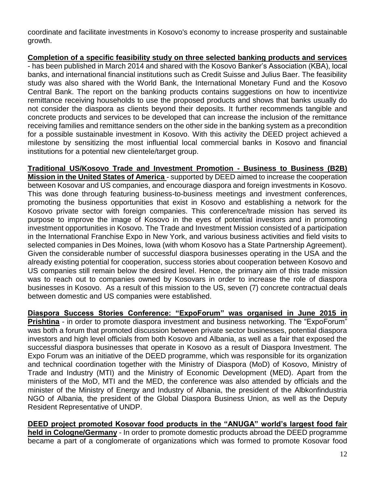coordinate and facilitate investments in Kosovo's economy to increase prosperity and sustainable growth.

**Completion of a specific feasibility study on three selected banking products and services** - has been published in March 2014 and shared with the Kosovo Banker's Association (KBA), local banks, and international financial institutions such as Credit Suisse and Julius Baer. The feasibility study was also shared with the World Bank, the International Monetary Fund and the Kosovo Central Bank. The report on the banking products contains suggestions on how to incentivize remittance receiving households to use the proposed products and shows that banks usually do not consider the diaspora as clients beyond their deposits. It further recommends tangible and concrete products and services to be developed that can increase the inclusion of the remittance receiving families and remittance senders on the other side in the banking system as a precondition for a possible sustainable investment in Kosovo. With this activity the DEED project achieved a milestone by sensitizing the most influential local commercial banks in Kosovo and financial institutions for a potential new clientele/target group.

**Traditional US/Kosovo Trade and Investment Promotion - Business to Business (B2B) Mission in the United States of America** - supported by DEED aimed to increase the cooperation between Kosovar and US companies, and encourage diaspora and foreign investments in Kosovo. This was done through featuring business-to-business meetings and investment conferences, promoting the business opportunities that exist in Kosovo and establishing a network for the Kosovo private sector with foreign companies. This conference/trade mission has served its purpose to improve the image of Kosovo in the eyes of potential investors and in promoting investment opportunities in Kosovo. The Trade and Investment Mission consisted of a participation in the International Franchise Expo in New York, and various business activities and field visits to selected companies in Des Moines, Iowa (with whom Kosovo has a State Partnership Agreement). Given the considerable number of successful diaspora businesses operating in the USA and the already existing potential for cooperation, success stories about cooperation between Kosovo and US companies still remain below the desired level. Hence, the primary aim of this trade mission was to reach out to companies owned by Kosovars in order to increase the role of diaspora businesses in Kosovo. As a result of this mission to the US, seven (7) concrete contractual deals between domestic and US companies were established.

**Diaspora Success Stories Conference: "ExpoForum" was organised in June 2015 in Prishtina** - in order to promote diaspora investment and business networking. The "ExpoForum" was both a forum that promoted discussion between private sector businesses, potential diaspora investors and high level officials from both Kosovo and Albania, as well as a fair that exposed the successful diaspora businesses that operate in Kosovo as a result of Diaspora Investment. The Expo Forum was an initiative of the DEED programme, which was responsible for its organization and technical coordination together with the Ministry of Diaspora (MoD) of Kosovo, Ministry of Trade and Industry (MTI) and the Ministry of Economic Development (MED). Apart from the ministers of the MoD, MTI and the MED, the conference was also attended by officials and the minister of the Ministry of Energy and Industry of Albania, the president of the Albkonfindustria NGO of Albania, the president of the Global Diaspora Business Union, as well as the Deputy Resident Representative of UNDP.

**DEED project promoted Kosovar food products in the "ANUGA" world's largest food fair held in Cologne/Germany** - In order to promote domestic products abroad the DEED programme became a part of a conglomerate of organizations which was formed to promote Kosovar food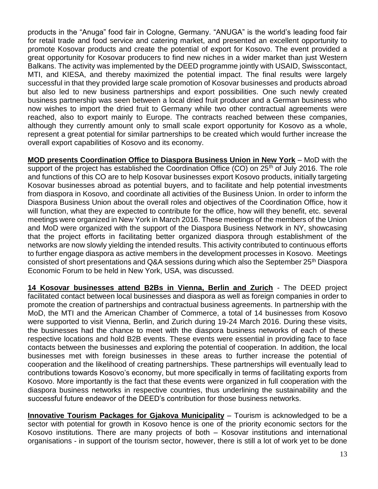products in the "Anuga" food fair in Cologne, Germany. "ANUGA" is the world's leading food fair for retail trade and food service and catering market, and presented an excellent opportunity to promote Kosovar products and create the potential of export for Kosovo. The event provided a great opportunity for Kosovar producers to find new niches in a wider market than just Western Balkans. The activity was implemented by the DEED programme jointly with USAID, Swisscontact, MTI, and KIESA, and thereby maximized the potential impact. The final results were largely successful in that they provided large scale promotion of Kosovar businesses and products abroad but also led to new business partnerships and export possibilities. One such newly created business partnership was seen between a local dried fruit producer and a German business who now wishes to import the dried fruit to Germany while two other contractual agreements were reached, also to export mainly to Europe. The contracts reached between these companies, although they currently amount only to small scale export opportunity for Kosovo as a whole, represent a great potential for similar partnerships to be created which would further increase the overall export capabilities of Kosovo and its economy.

**MOD presents Coordination Office to Diaspora Business Union in New York** – MoD with the support of the project has established the Coordination Office (CO) on  $25<sup>th</sup>$  of July 2016. The role and functions of this CO are to help Kosovar businesses export Kosovo products, initially targeting Kosovar businesses abroad as potential buyers, and to facilitate and help potential investments from diaspora in Kosovo, and coordinate all activities of the Business Union. In order to inform the Diaspora Business Union about the overall roles and objectives of the Coordination Office, how it will function, what they are expected to contribute for the office, how will they benefit, etc. several meetings were organized in New York in March 2016. These meetings of the members of the Union and MoD were organized with the support of the Diaspora Business Network in NY, showcasing that the project efforts in facilitating better organized diaspora through establishment of the networks are now slowly yielding the intended results. This activity contributed to continuous efforts to further engage diaspora as active members in the development processes in Kosovo. Meetings consisted of short presentations and Q&A sessions during which also the September 25<sup>th</sup> Diaspora Economic Forum to be held in New York, USA, was discussed.

**14 Kosovar businesses attend B2Bs in Vienna, Berlin and Zurich** - The DEED project facilitated contact between local businesses and diaspora as well as foreign companies in order to promote the creation of partnerships and contractual business agreements. In partnership with the MoD, the MTI and the American Chamber of Commerce, a total of 14 businesses from Kosovo were supported to visit Vienna, Berlin, and Zurich during 19-24 March 2016. During these visits, the businesses had the chance to meet with the diaspora business networks of each of these respective locations and hold B2B events. These events were essential in providing face to face contacts between the businesses and exploring the potential of cooperation. In addition, the local businesses met with foreign businesses in these areas to further increase the potential of cooperation and the likelihood of creating partnerships. These partnerships will eventually lead to contributions towards Kosovo's economy, but more specifically in terms of facilitating exports from Kosovo. More importantly is the fact that these events were organized in full cooperation with the diaspora business networks in respective countries, thus underlining the sustainability and the successful future endeavor of the DEED's contribution for those business networks.

**Innovative Tourism Packages for Gjakova Municipality** – Tourism is acknowledged to be a sector with potential for growth in Kosovo hence is one of the priority economic sectors for the Kosovo institutions. There are many projects of both – Kosovar institutions and international organisations - in support of the tourism sector, however, there is still a lot of work yet to be done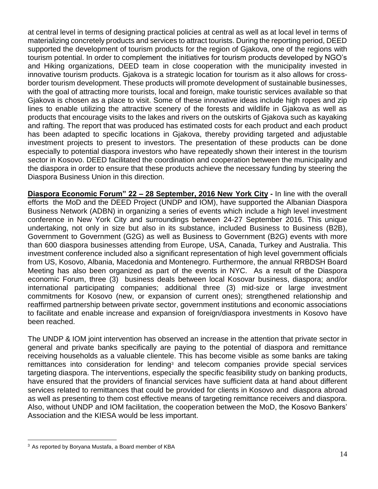at central level in terms of designing practical policies at central as well as at local level in terms of materializing concretely products and services to attract tourists. During the reporting period, DEED supported the development of tourism products for the region of Gjakova, one of the regions with tourism potential. In order to complement the initiatives for tourism products developed by NGO's and Hiking organizations, DEED team in close cooperation with the municipality invested in innovative tourism products. Gjakova is a strategic location for tourism as it also allows for crossborder tourism development. These products will promote development of sustainable businesses, with the goal of attracting more tourists, local and foreign, make touristic services available so that Gjakova is chosen as a place to visit. Some of these innovative ideas include high ropes and zip lines to enable utilizing the attractive scenery of the forests and wildlife in Gjakova as well as products that encourage visits to the lakes and rivers on the outskirts of Gjakova such as kayaking and rafting. The report that was produced has estimated costs for each product and each product has been adapted to specific locations in Gjakova, thereby providing targeted and adjustable investment projects to present to investors. The presentation of these products can be done especially to potential diaspora investors who have repeatedly shown their interest in the tourism sector in Kosovo. DEED facilitated the coordination and cooperation between the municipality and the diaspora in order to ensure that these products achieve the necessary funding by steering the Diaspora Business Union in this direction.

**Diaspora Economic Forum" 22 – 28 September, 2016 New York City -** In line with the overall efforts the MoD and the DEED Project (UNDP and IOM), have supported the Albanian Diaspora Business Network (ADBN) in organizing a series of events which include a high level investment conference in New York City and surroundings between 24-27 September 2016. This unique undertaking, not only in size but also in its substance, included Business to Business (B2B), Government to Government (G2G) as well as Business to Government (B2G) events with more than 600 diaspora businesses attending from Europe, USA, Canada, Turkey and Australia. This investment conference included also a significant representation of high level government officials from US, Kosovo, Albania, Macedonia and Montenegro. Furthermore, the annual RRBDSH Board Meeting has also been organized as part of the events in NYC. As a result of the Diaspora economic Forum, three (3) business deals between local Kosovar business, diaspora; and/or international participating companies; additional three (3) mid-size or large investment commitments for Kosovo (new, or expansion of current ones); strengthened relationship and reaffirmed partnership between private sector, government institutions and economic associations to facilitate and enable increase and expansion of foreign/diaspora investments in Kosovo have been reached.

The UNDP & IOM joint intervention has observed an increase in the attention that private sector in general and private banks specifically are paying to the potential of diaspora and remittance receiving households as a valuable clientele. This has become visible as some banks are taking remittances into consideration for lending<sup>3</sup> and telecom companies provide special services targeting diaspora. The interventions, especially the specific feasibility study on banking products, have ensured that the providers of financial services have sufficient data at hand about different services related to remittances that could be provided for clients in Kosovo and diaspora abroad as well as presenting to them cost effective means of targeting remittance receivers and diaspora. Also, without UNDP and IOM facilitation, the cooperation between the MoD, the Kosovo Bankers' Association and the KIESA would be less important.

<sup>&</sup>lt;sup>3</sup> As reported by Boryana Mustafa, a Board member of KBA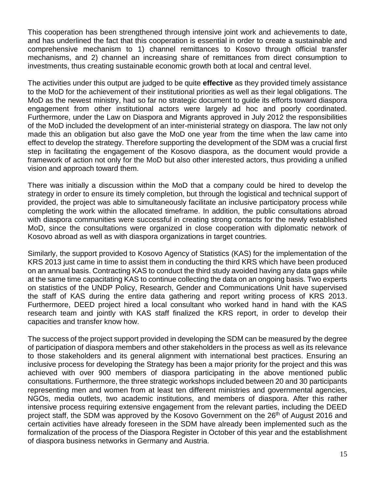This cooperation has been strengthened through intensive joint work and achievements to date, and has underlined the fact that this cooperation is essential in order to create a sustainable and comprehensive mechanism to 1) channel remittances to Kosovo through official transfer mechanisms, and 2) channel an increasing share of remittances from direct consumption to investments, thus creating sustainable economic growth both at local and central level.

The activities under this output are judged to be quite **effective** as they provided timely assistance to the MoD for the achievement of their institutional priorities as well as their legal obligations. The MoD as the newest ministry, had so far no strategic document to guide its efforts toward diaspora engagement from other institutional actors were largely ad hoc and poorly coordinated. Furthermore, under the Law on Diaspora and Migrants approved in July 2012 the responsibilities of the MoD included the development of an inter-ministerial strategy on diaspora. The law not only made this an obligation but also gave the MoD one year from the time when the law came into effect to develop the strategy. Therefore supporting the development of the SDM was a crucial first step in facilitating the engagement of the Kosovo diaspora, as the document would provide a framework of action not only for the MoD but also other interested actors, thus providing a unified vision and approach toward them.

There was initially a discussion within the MoD that a company could be hired to develop the strategy in order to ensure its timely completion, but through the logistical and technical support of provided, the project was able to simultaneously facilitate an inclusive participatory process while completing the work within the allocated timeframe. In addition, the public consultations abroad with diaspora communities were successful in creating strong contacts for the newly established MoD, since the consultations were organized in close cooperation with diplomatic network of Kosovo abroad as well as with diaspora organizations in target countries.

Similarly, the support provided to Kosovo Agency of Statistics (KAS) for the implementation of the KRS 2013 just came in time to assist them in conducting the third KRS which have been produced on an annual basis. Contracting KAS to conduct the third study avoided having any data gaps while at the same time capacitating KAS to continue collecting the data on an ongoing basis. Two experts on statistics of the UNDP Policy, Research, Gender and Communications Unit have supervised the staff of KAS during the entire data gathering and report writing process of KRS 2013. Furthermore, DEED project hired a local consultant who worked hand in hand with the KAS research team and jointly with KAS staff finalized the KRS report, in order to develop their capacities and transfer know how.

The success of the project support provided in developing the SDM can be measured by the degree of participation of diaspora members and other stakeholders in the process as well as its relevance to those stakeholders and its general alignment with international best practices. Ensuring an inclusive process for developing the Strategy has been a major priority for the project and this was achieved with over 900 members of diaspora participating in the above mentioned public consultations. Furthermore, the three strategic workshops included between 20 and 30 participants representing men and women from at least ten different ministries and governmental agencies, NGOs, media outlets, two academic institutions, and members of diaspora. After this rather intensive process requiring extensive engagement from the relevant parties, including the DEED project staff, the SDM was approved by the Kosovo Government on the 26<sup>th</sup> of August 2016 and certain activities have already foreseen in the SDM have already been implemented such as the formalization of the process of the Diaspora Register in October of this year and the establishment of diaspora business networks in Germany and Austria.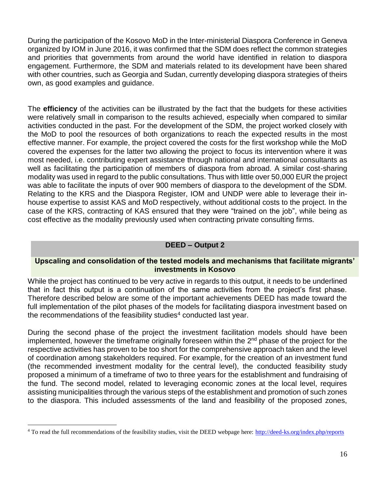During the participation of the Kosovo MoD in the Inter-ministerial Diaspora Conference in Geneva organized by IOM in June 2016, it was confirmed that the SDM does reflect the common strategies and priorities that governments from around the world have identified in relation to diaspora engagement. Furthermore, the SDM and materials related to its development have been shared with other countries, such as Georgia and Sudan, currently developing diaspora strategies of theirs own, as good examples and guidance.

The **efficiency** of the activities can be illustrated by the fact that the budgets for these activities were relatively small in comparison to the results achieved, especially when compared to similar activities conducted in the past. For the development of the SDM, the project worked closely with the MoD to pool the resources of both organizations to reach the expected results in the most effective manner. For example, the project covered the costs for the first workshop while the MoD covered the expenses for the latter two allowing the project to focus its intervention where it was most needed, i.e. contributing expert assistance through national and international consultants as well as facilitating the participation of members of diaspora from abroad. A similar cost-sharing modality was used in regard to the public consultations. Thus with little over 50,000 EUR the project was able to facilitate the inputs of over 900 members of diaspora to the development of the SDM. Relating to the KRS and the Diaspora Register, IOM and UNDP were able to leverage their inhouse expertise to assist KAS and MoD respectively, without additional costs to the project. In the case of the KRS, contracting of KAS ensured that they were "trained on the job", while being as cost effective as the modality previously used when contracting private consulting firms.

#### **DEED – Output 2**

#### **Upscaling and consolidation of the tested models and mechanisms that facilitate migrants' investments in Kosovo**

While the project has continued to be very active in regards to this output, it needs to be underlined that in fact this output is a continuation of the same activities from the project's first phase. Therefore described below are some of the important achievements DEED has made toward the full implementation of the pilot phases of the models for facilitating diaspora investment based on the recommendations of the feasibility studies $4$  conducted last year.

During the second phase of the project the investment facilitation models should have been implemented, however the timeframe originally foreseen within the 2<sup>nd</sup> phase of the project for the respective activities has proven to be too short for the comprehensive approach taken and the level of coordination among stakeholders required. For example, for the creation of an investment fund (the recommended investment modality for the central level), the conducted feasibility study proposed a minimum of a timeframe of two to three years for the establishment and fundraising of the fund. The second model, related to leveraging economic zones at the local level, requires assisting municipalities through the various steps of the establishment and promotion of such zones to the diaspora. This included assessments of the land and feasibility of the proposed zones,

<sup>&</sup>lt;sup>4</sup> To read the full recommendations of the feasibility studies, visit the DEED webpage here:<http://deed-ks.org/index.php/reports>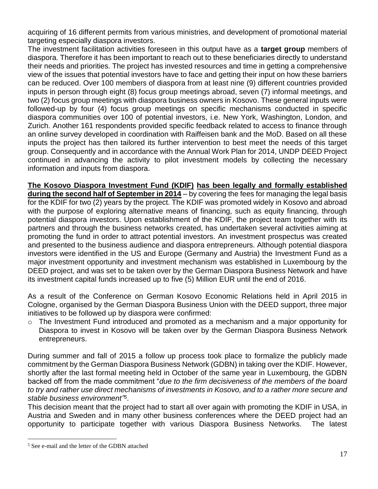acquiring of 16 different permits from various ministries, and development of promotional material targeting especially diaspora investors.

The investment facilitation activities foreseen in this output have as a **target group** members of diaspora. Therefore it has been important to reach out to these beneficiaries directly to understand their needs and priorities. The project has invested resources and time in getting a comprehensive view of the issues that potential investors have to face and getting their input on how these barriers can be reduced. Over 100 members of diaspora from at least nine (9) different countries provided inputs in person through eight (8) focus group meetings abroad, seven (7) informal meetings, and two (2) focus group meetings with diaspora business owners in Kosovo. These general inputs were followed-up by four (4) focus group meetings on specific mechanisms conducted in specific diaspora communities over 100 of potential investors, i.e. New York, Washington, London, and Zurich. Another 161 respondents provided specific feedback related to access to finance through an online survey developed in coordination with Raiffeisen bank and the MoD. Based on all these inputs the project has then tailored its further intervention to best meet the needs of this target group. Consequently and in accordance with the Annual Work Plan for 2014, UNDP DEED Project continued in advancing the activity to pilot investment models by collecting the necessary information and inputs from diaspora.

**The Kosovo Diaspora Investment Fund (KDIF) has been legally and formally established during the second half of September in 2014** – by covering the fees for managing the legal basis for the KDIF for two (2) years by the project. The KDIF was promoted widely in Kosovo and abroad with the purpose of exploring alternative means of financing, such as equity financing, through potential diaspora investors. Upon establishment of the KDIF, the project team together with its partners and through the business networks created, has undertaken several activities aiming at promoting the fund in order to attract potential investors. An investment prospectus was created and presented to the business audience and diaspora entrepreneurs. Although potential diaspora investors were identified in the US and Europe (Germany and Austria) the Investment Fund as a major investment opportunity and investment mechanism was established in Luxembourg by the DEED project, and was set to be taken over by the German Diaspora Business Network and have its investment capital funds increased up to five (5) Million EUR until the end of 2016.

As a result of the Conference on German Kosovo Economic Relations held in April 2015 in Cologne, organised by the German Diaspora Business Union with the DEED support, three major initiatives to be followed up by diaspora were confirmed:

o The Investment Fund introduced and promoted as a mechanism and a major opportunity for Diaspora to invest in Kosovo will be taken over by the German Diaspora Business Network entrepreneurs.

During summer and fall of 2015 a follow up process took place to formalize the publicly made commitment by the German Diaspora Business Network (GDBN) in taking over the KDIF. However, shortly after the last formal meeting held in October of the same year in Luxembourg, the GDBN backed off from the made commitment "*due to the firm decisiveness of the members of the board to try and rather use direct mechanisms of investments in Kosovo, and to a rather more secure and stable business environment" 5* .

This decision meant that the project had to start all over again with promoting the KDIF in USA, in Austria and Sweden and in many other business conferences where the DEED project had an opportunity to participate together with various Diaspora Business Networks. The latest

<sup>5</sup> See e-mail and the letter of the GDBN attached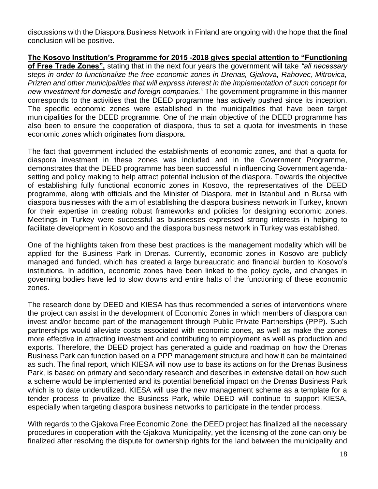discussions with the Diaspora Business Network in Finland are ongoing with the hope that the final conclusion will be positive.

**The Kosovo Institution's Programme for 2015 -2018 gives special attention to "Functioning of Free Trade Zones",** stating that in the next four years the government will take *"all necessary steps in order to functionalize the free economic zones in Drenas, Gjakova, Rahovec, Mitrovica, Prizren and other municipalities that will express interest in the implementation of such concept for new investment for domestic and foreign companies."* The government programme in this manner corresponds to the activities that the DEED programme has actively pushed since its inception. The specific economic zones were established in the municipalities that have been target municipalities for the DEED programme. One of the main objective of the DEED programme has also been to ensure the cooperation of diaspora, thus to set a quota for investments in these economic zones which originates from diaspora.

The fact that government included the establishments of economic zones, and that a quota for diaspora investment in these zones was included and in the Government Programme, demonstrates that the DEED programme has been successful in influencing Government agendasetting and policy making to help attract potential inclusion of the diaspora. Towards the objective of establishing fully functional economic zones in Kosovo, the representatives of the DEED programme, along with officials and the Minister of Diaspora, met in Istanbul and in Bursa with diaspora businesses with the aim of establishing the diaspora business network in Turkey, known for their expertise in creating robust frameworks and policies for designing economic zones. Meetings in Turkey were successful as businesses expressed strong interests in helping to facilitate development in Kosovo and the diaspora business network in Turkey was established.

One of the highlights taken from these best practices is the management modality which will be applied for the Business Park in Drenas. Currently, economic zones in Kosovo are publicly managed and funded, which has created a large bureaucratic and financial burden to Kosovo's institutions. In addition, economic zones have been linked to the policy cycle, and changes in governing bodies have led to slow downs and entire halts of the functioning of these economic zones.

The research done by DEED and KIESA has thus recommended a series of interventions where the project can assist in the development of Economic Zones in which members of diaspora can invest and/or become part of the management through Public Private Partnerships (PPP). Such partnerships would alleviate costs associated with economic zones, as well as make the zones more effective in attracting investment and contributing to employment as well as production and exports. Therefore, the DEED project has generated a guide and roadmap on how the Drenas Business Park can function based on a PPP management structure and how it can be maintained as such. The final report, which KIESA will now use to base its actions on for the Drenas Business Park, is based on primary and secondary research and describes in extensive detail on how such a scheme would be implemented and its potential beneficial impact on the Drenas Business Park which is to date underutilized. KIESA will use the new management scheme as a template for a tender process to privatize the Business Park, while DEED will continue to support KIESA, especially when targeting diaspora business networks to participate in the tender process.

With regards to the Gjakova Free Economic Zone, the DEED project has finalized all the necessary procedures in cooperation with the Gjakova Municipality, yet the licensing of the zone can only be finalized after resolving the dispute for ownership rights for the land between the municipality and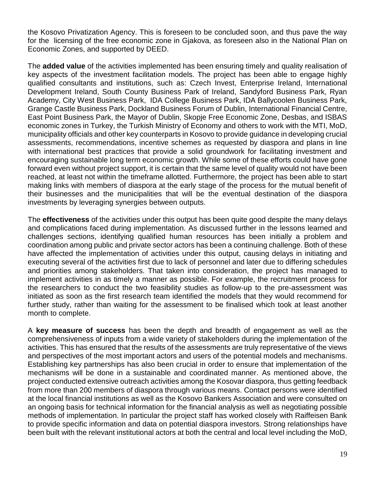the Kosovo Privatization Agency. This is foreseen to be concluded soon, and thus pave the way for the licensing of the free economic zone in Gjakova, as foreseen also in the National Plan on Economic Zones, and supported by DEED.

The **added value** of the activities implemented has been ensuring timely and quality realisation of key aspects of the investment facilitation models. The project has been able to engage highly qualified consultants and institutions, such as: Czech Invest, Enterprise Ireland, International Development Ireland, South County Business Park of Ireland, Sandyford Business Park, Ryan Academy, City West Business Park, IDA College Business Park, IDA Ballycoolen Business Park, Grange Castle Business Park, Dockland Business Forum of Dublin, International Financial Centre, East Point Business Park, the Mayor of Dublin, Skopje Free Economic Zone, Desbas, and ISBAS economic zones in Turkey, the Turkish Ministry of Economy and others to work with the MTI, MoD, municipality officials and other key counterparts in Kosovo to provide guidance in developing crucial assessments, recommendations, incentive schemes as requested by diaspora and plans in line with international best practices that provide a solid groundwork for facilitating investment and encouraging sustainable long term economic growth. While some of these efforts could have gone forward even without project support, it is certain that the same level of quality would not have been reached, at least not within the timeframe allotted. Furthermore, the project has been able to start making links with members of diaspora at the early stage of the process for the mutual benefit of their businesses and the municipalities that will be the eventual destination of the diaspora investments by leveraging synergies between outputs.

The **effectiveness** of the activities under this output has been quite good despite the many delays and complications faced during implementation. As discussed further in the lessons learned and challenges sections, identifying qualified human resources has been initially a problem and coordination among public and private sector actors has been a continuing challenge. Both of these have affected the implementation of activities under this output, causing delays in initiating and executing several of the activities first due to lack of personnel and later due to differing schedules and priorities among stakeholders. That taken into consideration, the project has managed to implement activities in as timely a manner as possible. For example, the recruitment process for the researchers to conduct the two feasibility studies as follow-up to the pre-assessment was initiated as soon as the first research team identified the models that they would recommend for further study, rather than waiting for the assessment to be finalised which took at least another month to complete.

A **key measure of success** has been the depth and breadth of engagement as well as the comprehensiveness of inputs from a wide variety of stakeholders during the implementation of the activities. This has ensured that the results of the assessments are truly representative of the views and perspectives of the most important actors and users of the potential models and mechanisms. Establishing key partnerships has also been crucial in order to ensure that implementation of the mechanisms will be done in a sustainable and coordinated manner. As mentioned above, the project conducted extensive outreach activities among the Kosovar diaspora, thus getting feedback from more than 200 members of diaspora through various means. Contact persons were identified at the local financial institutions as well as the Kosovo Bankers Association and were consulted on an ongoing basis for technical information for the financial analysis as well as negotiating possible methods of implementation. In particular the project staff has worked closely with Raiffeisen Bank to provide specific information and data on potential diaspora investors. Strong relationships have been built with the relevant institutional actors at both the central and local level including the MoD,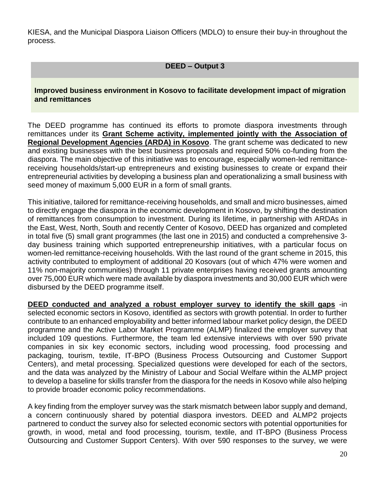KIESA, and the Municipal Diaspora Liaison Officers (MDLO) to ensure their buy-in throughout the process.

**DEED – Output 3**

**Improved business environment in Kosovo to facilitate development impact of migration and remittances**

The DEED programme has continued its efforts to promote diaspora investments through remittances under its **Grant Scheme activity, implemented jointly with the Association of Regional Development Agencies (ARDA) in Kosovo**. The grant scheme was dedicated to new and existing businesses with the best business proposals and required 50% co-funding from the diaspora. The main objective of this initiative was to encourage, especially women-led remittancereceiving households/start-up entrepreneurs and existing businesses to create or expand their entrepreneurial activities by developing a business plan and operationalizing a small business with seed money of maximum 5,000 EUR in a form of small grants.

This initiative, tailored for remittance-receiving households, and small and micro businesses, aimed to directly engage the diaspora in the economic development in Kosovo, by shifting the destination of remittances from consumption to investment. During its lifetime, in partnership with ARDAs in the East, West, North, South and recently Center of Kosovo, DEED has organized and completed in total five (5) small grant programmes (the last one in 2015) and conducted a comprehensive 3 day business training which supported entrepreneurship initiatives, with a particular focus on women-led remittance-receiving households. With the last round of the grant scheme in 2015, this activity contributed to employment of additional 20 Kosovars (out of which 47% were women and 11% non-majority communities) through 11 private enterprises having received grants amounting over 75,000 EUR which were made available by diaspora investments and 30,000 EUR which were disbursed by the DEED programme itself.

**DEED conducted and analyzed a robust employer survey to identify the skill gaps** -in selected economic sectors in Kosovo, identified as sectors with growth potential. In order to further contribute to an enhanced employability and better informed labour market policy design, the DEED programme and the Active Labor Market Programme (ALMP) finalized the employer survey that included 109 questions. Furthermore, the team led extensive interviews with over 590 private companies in six key economic sectors, including wood processing, food processing and packaging, tourism, textile, IT-BPO (Business Process Outsourcing and Customer Support Centers), and metal processing. Specialized questions were developed for each of the sectors, and the data was analyzed by the Ministry of Labour and Social Welfare within the ALMP project to develop a baseline for skills transfer from the diaspora for the needs in Kosovo while also helping to provide broader economic policy recommendations.

A key finding from the employer survey was the stark mismatch between labor supply and demand, a concern continuously shared by potential diaspora investors. DEED and ALMP2 projects partnered to conduct the survey also for selected economic sectors with potential opportunities for growth, in wood, metal and food processing, tourism, textile, and IT-BPO (Business Process Outsourcing and Customer Support Centers). With over 590 responses to the survey, we were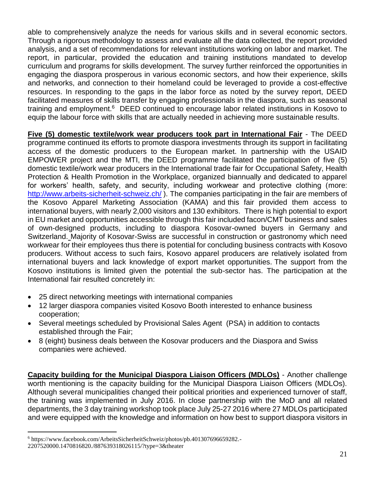able to comprehensively analyze the needs for various skills and in several economic sectors. Through a rigorous methodology to assess and evaluate all the data collected, the report provided analysis, and a set of recommendations for relevant institutions working on labor and market. The report, in particular, provided the education and training institutions mandated to develop curriculum and programs for skills development. The survey further reinforced the opportunities in engaging the diaspora prosperous in various economic sectors, and how their experience, skills and networks, and connection to their homeland could be leveraged to provide a cost-effective resources. In responding to the gaps in the labor force as noted by the survey report, DEED facilitated measures of skills transfer by engaging professionals in the diaspora, such as seasonal training and employment.<sup>6</sup> DEED continued to encourage labor related institutions in Kosovo to equip the labour force with skills that are actually needed in achieving more sustainable results.

**Five (5) domestic textile/work wear producers took part in International Fair** - The DEED programme continued its efforts to promote diaspora investments through its support in facilitating access of the domestic producers to the European market. In partnership with the USAID EMPOWER project and the MTI, the DEED programme facilitated the participation of five (5) domestic textile/work wear producers in the International trade fair for Occupational Safety, Health Protection & Health Promotion in the Workplace, organized biannually and dedicated to apparel for workers' health, safety, and security, including workwear and protective clothing (more: <http://www.arbeits-sicherheit-schweiz.ch/>). The companies participating in the fair are members of the Kosovo Apparel Marketing Association (KAMA) and this fair provided them access to international buyers, with nearly 2,000 visitors and 130 exhibitors. There is high potential to export in EU market and opportunities accessible through this fair included facon/CMT business and sales of own-designed products, including to diaspora Kosovar-owned buyers in Germany and Switzerland. Majority of Kosovar-Swiss are successful in construction or gastronomy which need workwear for their employees thus there is potential for concluding business contracts with Kosovo producers. Without access to such fairs, Kosovo apparel producers are relatively isolated from international buyers and lack knowledge of export market opportunities. The support from the Kosovo institutions is limited given the potential the sub-sector has. The participation at the International fair resulted concretely in:

- 25 direct networking meetings with international companies
- 12 larger diaspora companies visited Kosovo Booth interested to enhance business cooperation;
- Several meetings scheduled by Provisional Sales Agent (PSA) in addition to contacts established through the Fair;
- 8 (eight) business deals between the Kosovar producers and the Diaspora and Swiss companies were achieved.

**Capacity building for the Municipal Diaspora Liaison Officers (MDLOs)** - Another challenge worth mentioning is the capacity building for the Municipal Diaspora Liaison Officers (MDLOs). Although several municipalities changed their political priorities and experienced turnover of staff, the training was implemented in July 2016. In close partnership with the MoD and all related departments, the 3 day training workshop took place July 25-27 2016 where 27 MDLOs participated and were equipped with the knowledge and information on how best to support diaspora visitors in

<sup>6</sup> https://www.facebook.com/ArbeitsSicherheitSchweiz/photos/pb.401307696659282.-

<sup>2207520000.1470816820./887639318026115/?</sup>type=3&theater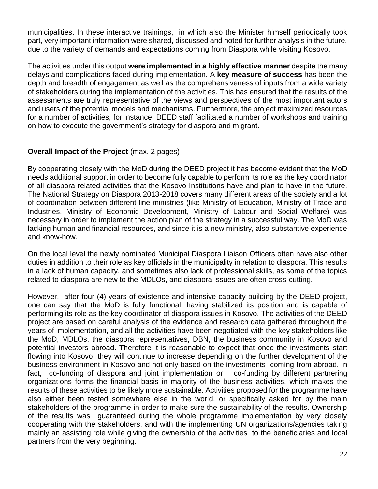municipalities. In these interactive trainings, in which also the Minister himself periodically took part, very important information were shared, discussed and noted for further analysis in the future, due to the variety of demands and expectations coming from Diaspora while visiting Kosovo.

The activities under this output **were implemented in a highly effective manner** despite the many delays and complications faced during implementation. A **key measure of success** has been the depth and breadth of engagement as well as the comprehensiveness of inputs from a wide variety of stakeholders during the implementation of the activities. This has ensured that the results of the assessments are truly representative of the views and perspectives of the most important actors and users of the potential models and mechanisms. Furthermore, the project maximized resources for a number of activities, for instance, DEED staff facilitated a number of workshops and training on how to execute the government's strategy for diaspora and migrant.

# **Overall Impact of the Project** (max. 2 pages)

By cooperating closely with the MoD during the DEED project it has become evident that the MoD needs additional support in order to become fully capable to perform its role as the key coordinator of all diaspora related activities that the Kosovo Institutions have and plan to have in the future. The National Strategy on Diaspora 2013-2018 covers many different areas of the society and a lot of coordination between different line ministries (like Ministry of Education, Ministry of Trade and Industries, Ministry of Economic Development, Ministry of Labour and Social Welfare) was necessary in order to implement the action plan of the strategy in a successful way. The MoD was lacking human and financial resources, and since it is a new ministry, also substantive experience and know-how.

On the local level the newly nominated Municipal Diaspora Liaison Officers often have also other duties in addition to their role as key officials in the municipality in relation to diaspora. This results in a lack of human capacity, and sometimes also lack of professional skills, as some of the topics related to diaspora are new to the MDLOs, and diaspora issues are often cross-cutting.

However, after four (4) years of existence and intensive capacity building by the DEED project, one can say that the MoD is fully functional, having stabilized its position and is capable of performing its role as the key coordinator of diaspora issues in Kosovo. The activities of the DEED project are based on careful analysis of the evidence and research data gathered throughout the years of implementation, and all the activities have been negotiated with the key stakeholders like the MoD, MDLOs, the diaspora representatives, DBN, the business community in Kosovo and potential investors abroad. Therefore it is reasonable to expect that once the investments start flowing into Kosovo, they will continue to increase depending on the further development of the business environment in Kosovo and not only based on the investments coming from abroad. In fact, co-funding of diaspora and joint implementation or co-funding by different partnering organizations forms the financial basis in majority of the business activities, which makes the results of these activities to be likely more sustainable. Activities proposed for the programme have also either been tested somewhere else in the world, or specifically asked for by the main stakeholders of the programme in order to make sure the sustainability of the results. Ownership of the results was guaranteed during the whole programme implementation by very closely cooperating with the stakeholders, and with the implementing UN organizations/agencies taking mainly an assisting role while giving the ownership of the activities to the beneficiaries and local partners from the very beginning.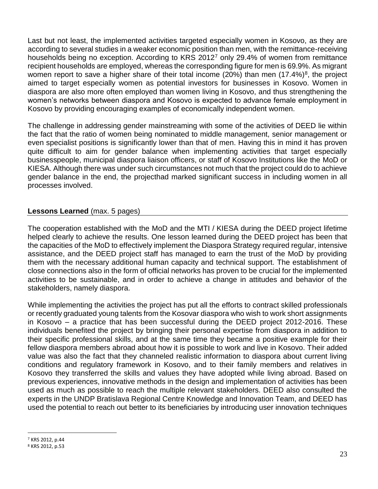Last but not least, the implemented activities targeted especially women in Kosovo, as they are according to several studies in a weaker economic position than men, with the remittance-receiving households being no exception. According to KRS 2012<sup>7</sup> only 29.4% of women from remittance recipient households are employed, whereas the corresponding figure for men is 69.9%. As migrant women report to save a higher share of their total income (20%) than men (17.4%)<sup>8</sup>, the project aimed to target especially women as potential investors for businesses in Kosovo. Women in diaspora are also more often employed than women living in Kosovo, and thus strengthening the women's networks between diaspora and Kosovo is expected to advance female employment in Kosovo by providing encouraging examples of economically independent women.

The challenge in addressing gender mainstreaming with some of the activities of DEED lie within the fact that the ratio of women being nominated to middle management, senior management or even specialist positions is significantly lower than that of men. Having this in mind it has proven quite difficult to aim for gender balance when implementing activities that target especially businesspeople, municipal diaspora liaison officers, or staff of Kosovo Institutions like the MoD or KIESA. Although there was under such circumstances not much that the project could do to achieve gender balance in the end, the projecthad marked significant success in including women in all processes involved.

#### **Lessons Learned** (max. 5 pages)

The cooperation established with the MoD and the MTI / KIESA during the DEED project lifetime helped clearly to achieve the results. One lesson learned during the DEED project has been that the capacities of the MoD to effectively implement the Diaspora Strategy required regular, intensive assistance, and the DEED project staff has managed to earn the trust of the MoD by providing them with the necessary additional human capacity and technical support. The establishment of close connections also in the form of official networks has proven to be crucial for the implemented activities to be sustainable, and in order to achieve a change in attitudes and behavior of the stakeholders, namely diaspora.

While implementing the activities the project has put all the efforts to contract skilled professionals or recently graduated young talents from the Kosovar diaspora who wish to work short assignments in Kosovo – a practice that has been successful during the DEED project 2012-2016. These individuals benefited the project by bringing their personal expertise from diaspora in addition to their specific professional skills, and at the same time they became a positive example for their fellow diaspora members abroad about how it is possible to work and live in Kosovo. Their added value was also the fact that they channeled realistic information to diaspora about current living conditions and regulatory framework in Kosovo, and to their family members and relatives in Kosovo they transferred the skills and values they have adopted while living abroad. Based on previous experiences, innovative methods in the design and implementation of activities has been used as much as possible to reach the multiple relevant stakeholders. DEED also consulted the experts in the UNDP Bratislava Regional Centre Knowledge and Innovation Team, and DEED has used the potential to reach out better to its beneficiaries by introducing user innovation techniques

 $\overline{a}$ <sup>7</sup> KRS 2012, p.44

<sup>8</sup> KRS 2012, p.53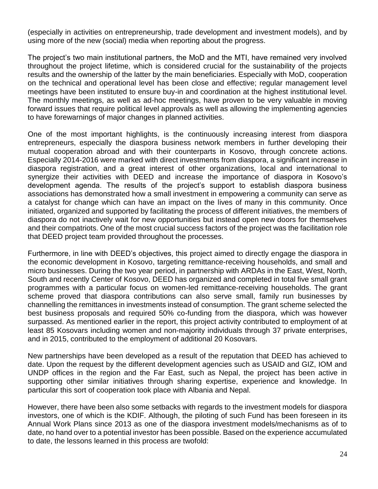(especially in activities on entrepreneurship, trade development and investment models), and by using more of the new (social) media when reporting about the progress.

The project's two main institutional partners, the MoD and the MTI, have remained very involved throughout the project lifetime, which is considered crucial for the sustainability of the projects results and the ownership of the latter by the main beneficiaries. Especially with MoD, cooperation on the technical and operational level has been close and effective; regular management level meetings have been instituted to ensure buy-in and coordination at the highest institutional level. The monthly meetings, as well as ad-hoc meetings, have proven to be very valuable in moving forward issues that require political level approvals as well as allowing the implementing agencies to have forewarnings of major changes in planned activities.

One of the most important highlights, is the continuously increasing interest from diaspora entrepreneurs, especially the diaspora business network members in further developing their mutual cooperation abroad and with their counterparts in Kosovo, through concrete actions. Especially 2014-2016 were marked with direct investments from diaspora, a significant increase in diaspora registration, and a great interest of other organizations, local and international to synergize their activities with DEED and increase the importance of diaspora in Kosovo's development agenda. The results of the project's support to establish diaspora business associations has demonstrated how a small investment in empowering a community can serve as a catalyst for change which can have an impact on the lives of many in this community. Once initiated, organized and supported by facilitating the process of different initiatives, the members of diaspora do not inactively wait for new opportunities but instead open new doors for themselves and their compatriots. One of the most crucial success factors of the project was the facilitation role that DEED project team provided throughout the processes.

Furthermore, in line with DEED's objectives, this project aimed to directly engage the diaspora in the economic development in Kosovo, targeting remittance-receiving households, and small and micro businesses. During the two year period, in partnership with ARDAs in the East, West, North, South and recently Center of Kosovo, DEED has organized and completed in total five small grant programmes with a particular focus on women-led remittance-receiving households. The grant scheme proved that diaspora contributions can also serve small, family run businesses by channelling the remittances in investments instead of consumption. The grant scheme selected the best business proposals and required 50% co-funding from the diaspora, which was however surpassed. As mentioned earlier in the report, this project activity contributed to employment of at least 85 Kosovars including women and non-majority individuals through 37 private enterprises, and in 2015, contributed to the employment of additional 20 Kosovars.

New partnerships have been developed as a result of the reputation that DEED has achieved to date. Upon the request by the different development agencies such as USAID and GIZ, IOM and UNDP offices in the region and the Far East, such as Nepal, the project has been active in supporting other similar initiatives through sharing expertise, experience and knowledge. In particular this sort of cooperation took place with Albania and Nepal.

However, there have been also some setbacks with regards to the investment models for diaspora investors, one of which is the KDIF. Although, the piloting of such Fund has been foreseen in its Annual Work Plans since 2013 as one of the diaspora investment models/mechanisms as of to date, no hand over to a potential investor has been possible. Based on the experience accumulated to date, the lessons learned in this process are twofold: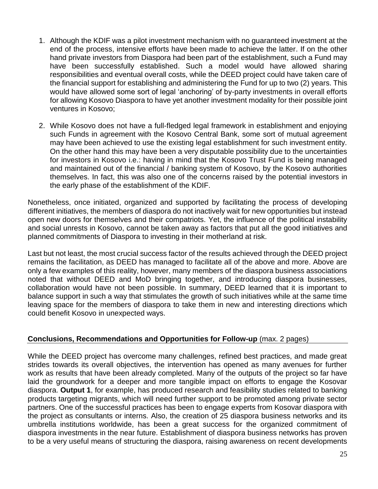- 1. Although the KDIF was a pilot investment mechanism with no guaranteed investment at the end of the process, intensive efforts have been made to achieve the latter. If on the other hand private investors from Diaspora had been part of the establishment, such a Fund may have been successfully established. Such a model would have allowed sharing responsibilities and eventual overall costs, while the DEED project could have taken care of the financial support for establishing and administering the Fund for up to two (2) years. This would have allowed some sort of legal 'anchoring' of by-party investments in overall efforts for allowing Kosovo Diaspora to have yet another investment modality for their possible joint ventures in Kosovo;
- 2. While Kosovo does not have a full-fledged legal framework in establishment and enjoying such Funds in agreement with the Kosovo Central Bank, some sort of mutual agreement may have been achieved to use the existing legal establishment for such investment entity. On the other hand this may have been a very disputable possibility due to the uncertainties for investors in Kosovo i.e.: having in mind that the Kosovo Trust Fund is being managed and maintained out of the financial / banking system of Kosovo, by the Kosovo authorities themselves. In fact, this was also one of the concerns raised by the potential investors in the early phase of the establishment of the KDIF.

Nonetheless, once initiated, organized and supported by facilitating the process of developing different initiatives, the members of diaspora do not inactively wait for new opportunities but instead open new doors for themselves and their compatriots. Yet, the influence of the political instability and social unrests in Kosovo, cannot be taken away as factors that put all the good initiatives and planned commitments of Diaspora to investing in their motherland at risk.

Last but not least, the most crucial success factor of the results achieved through the DEED project remains the facilitation, as DEED has managed to facilitate all of the above and more. Above are only a few examples of this reality, however, many members of the diaspora business associations noted that without DEED and MoD bringing together, and introducing diaspora businesses, collaboration would have not been possible. In summary, DEED learned that it is important to balance support in such a way that stimulates the growth of such initiatives while at the same time leaving space for the members of diaspora to take them in new and interesting directions which could benefit Kosovo in unexpected ways.

# **Conclusions, Recommendations and Opportunities for Follow-up** (max. 2 pages)

While the DEED project has overcome many challenges, refined best practices, and made great strides towards its overall objectives, the intervention has opened as many avenues for further work as results that have been already completed. Many of the outputs of the project so far have laid the groundwork for a deeper and more tangible impact on efforts to engage the Kosovar diaspora. **Output 1**, for example, has produced research and feasibility studies related to banking products targeting migrants, which will need further support to be promoted among private sector partners. One of the successful practices has been to engage experts from Kosovar diaspora with the project as consultants or interns. Also, the creation of 25 diaspora business networks and its umbrella institutions worldwide, has been a great success for the organized commitment of diaspora investments in the near future. Establishment of diaspora business networks has proven to be a very useful means of structuring the diaspora, raising awareness on recent developments